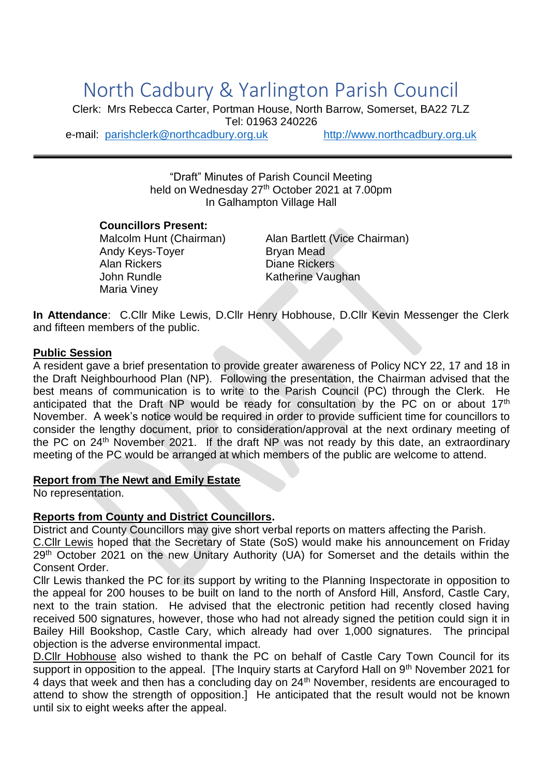# North Cadbury & Yarlington Parish Council

Clerk: Mrs Rebecca Carter, Portman House, North Barrow, Somerset, BA22 7LZ Tel: 01963 240226 e-mail: [parishclerk@northcadbury.org.uk](mailto:parishclerk@northcadbury.org.uk) [http://www.northcadbury.org.uk](http://www.northcadbury.org.uk/)

"Draft" Minutes of Parish Council Meeting held on Wednesday 27<sup>th</sup> October 2021 at 7.00pm In Galhampton Village Hall

# **Councillors Present:**

Andy Keys-Toyer Bryan Mead Alan Rickers **Diane Rickers** John Rundle Katherine Vaughan Maria Viney

Malcolm Hunt (Chairman) Alan Bartlett (Vice Chairman)

**In Attendance**: C.Cllr Mike Lewis, D.Cllr Henry Hobhouse, D.Cllr Kevin Messenger the Clerk and fifteen members of the public.

## **Public Session**

A resident gave a brief presentation to provide greater awareness of Policy NCY 22, 17 and 18 in the Draft Neighbourhood Plan (NP). Following the presentation, the Chairman advised that the best means of communication is to write to the Parish Council (PC) through the Clerk. He anticipated that the Draft NP would be ready for consultation by the PC on or about 17<sup>th</sup> November. A week's notice would be required in order to provide sufficient time for councillors to consider the lengthy document, prior to consideration/approval at the next ordinary meeting of the PC on 24<sup>th</sup> November 2021. If the draft NP was not ready by this date, an extraordinary meeting of the PC would be arranged at which members of the public are welcome to attend.

## **Report from The Newt and Emily Estate**

No representation.

# **Reports from County and District Councillors.**

District and County Councillors may give short verbal reports on matters affecting the Parish.

C.Cllr Lewis hoped that the Secretary of State (SoS) would make his announcement on Friday 29<sup>th</sup> October 2021 on the new Unitary Authority (UA) for Somerset and the details within the Consent Order.

Cllr Lewis thanked the PC for its support by writing to the Planning Inspectorate in opposition to the appeal for 200 houses to be built on land to the north of Ansford Hill, Ansford, Castle Cary, next to the train station. He advised that the electronic petition had recently closed having received 500 signatures, however, those who had not already signed the petition could sign it in Bailey Hill Bookshop, Castle Cary, which already had over 1,000 signatures. The principal objection is the adverse environmental impact.

D.Cllr Hobhouse also wished to thank the PC on behalf of Castle Cary Town Council for its support in opposition to the appeal. [The Inquiry starts at Caryford Hall on 9<sup>th</sup> November 2021 for 4 days that week and then has a concluding day on  $24<sup>th</sup>$  November, residents are encouraged to attend to show the strength of opposition.] He anticipated that the result would not be known until six to eight weeks after the appeal.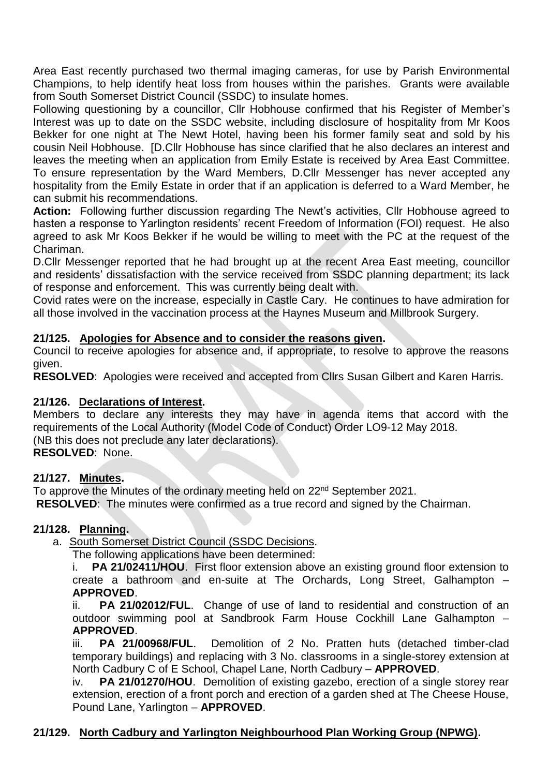Area East recently purchased two thermal imaging cameras, for use by Parish Environmental Champions, to help identify heat loss from houses within the parishes. Grants were available from South Somerset District Council (SSDC) to insulate homes.

Following questioning by a councillor, Cllr Hobhouse confirmed that his Register of Member's Interest was up to date on the SSDC website, including disclosure of hospitality from Mr Koos Bekker for one night at The Newt Hotel, having been his former family seat and sold by his cousin Neil Hobhouse. [D.Cllr Hobhouse has since clarified that he also declares an interest and leaves the meeting when an application from Emily Estate is received by Area East Committee. To ensure representation by the Ward Members, D.Cllr Messenger has never accepted any hospitality from the Emily Estate in order that if an application is deferred to a Ward Member, he can submit his recommendations.

**Action:** Following further discussion regarding The Newt's activities, Cllr Hobhouse agreed to hasten a response to Yarlington residents' recent Freedom of Information (FOI) request. He also agreed to ask Mr Koos Bekker if he would be willing to meet with the PC at the request of the Chariman.

D.Cllr Messenger reported that he had brought up at the recent Area East meeting, councillor and residents' dissatisfaction with the service received from SSDC planning department; its lack of response and enforcement. This was currently being dealt with.

Covid rates were on the increase, especially in Castle Cary. He continues to have admiration for all those involved in the vaccination process at the Haynes Museum and Millbrook Surgery.

# **21/125. Apologies for Absence and to consider the reasons given.**

Council to receive apologies for absence and, if appropriate, to resolve to approve the reasons given.

**RESOLVED**: Apologies were received and accepted from Cllrs Susan Gilbert and Karen Harris.

# **21/126. Declarations of Interest.**

Members to declare any interests they may have in agenda items that accord with the requirements of the Local Authority (Model Code of Conduct) Order LO9-12 May 2018. (NB this does not preclude any later declarations). **RESOLVED**: None.

## **21/127. Minutes.**

To approve the Minutes of the ordinary meeting held on 22<sup>nd</sup> September 2021. **RESOLVED**: The minutes were confirmed as a true record and signed by the Chairman.

## **21/128. Planning.**

a. South Somerset District Council (SSDC Decisions.

The following applications have been determined:

i. **PA 21/02411/HOU**. First floor extension above an existing ground floor extension to create a bathroom and en-suite at The Orchards, Long Street, Galhampton – **APPROVED**.

ii. **PA 21/02012/FUL**. Change of use of land to residential and construction of an outdoor swimming pool at Sandbrook Farm House Cockhill Lane Galhampton – **APPROVED**.

iii. **PA 21/00968/FUL**. Demolition of 2 No. Pratten huts (detached timber-clad temporary buildings) and replacing with 3 No. classrooms in a single-storey extension at North Cadbury C of E School, Chapel Lane, North Cadbury – **APPROVED**.

iv. **PA 21/01270/HOU**. Demolition of existing gazebo, erection of a single storey rear extension, erection of a front porch and erection of a garden shed at The Cheese House, Pound Lane, Yarlington – **APPROVED**.

# **21/129. North Cadbury and Yarlington Neighbourhood Plan Working Group (NPWG).**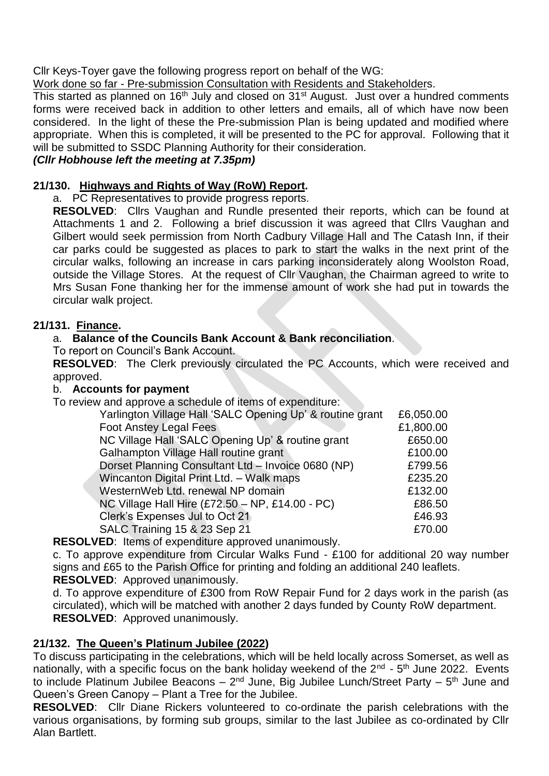Cllr Keys-Toyer gave the following progress report on behalf of the WG:

Work done so far - Pre-submission Consultation with Residents and Stakeholders.

This started as planned on 16<sup>th</sup> July and closed on  $31<sup>st</sup>$  August. Just over a hundred comments forms were received back in addition to other letters and emails, all of which have now been considered. In the light of these the Pre-submission Plan is being updated and modified where appropriate. When this is completed, it will be presented to the PC for approval. Following that it will be submitted to SSDC Planning Authority for their consideration.

# *(Cllr Hobhouse left the meeting at 7.35pm)*

# **21/130. Highways and Rights of Way (RoW) Report.**

a. PC Representatives to provide progress reports.

**RESOLVED**: Cllrs Vaughan and Rundle presented their reports, which can be found at Attachments 1 and 2. Following a brief discussion it was agreed that Cllrs Vaughan and Gilbert would seek permission from North Cadbury Village Hall and The Catash Inn, if their car parks could be suggested as places to park to start the walks in the next print of the circular walks, following an increase in cars parking inconsiderately along Woolston Road, outside the Village Stores. At the request of Cllr Vaughan, the Chairman agreed to write to Mrs Susan Fone thanking her for the immense amount of work she had put in towards the circular walk project.

# **21/131. Finance.**

# a. **Balance of the Councils Bank Account & Bank reconciliation**.

To report on Council's Bank Account.

**RESOLVED**: The Clerk previously circulated the PC Accounts, which were received and approved.

## b. **Accounts for payment**

To review and approve a schedule of items of expenditure:

| Yarlington Village Hall 'SALC Opening Up' & routine grant | £6,050.00 |
|-----------------------------------------------------------|-----------|
| <b>Foot Anstey Legal Fees</b>                             | £1,800.00 |
| NC Village Hall 'SALC Opening Up' & routine grant         | £650.00   |
| Galhampton Village Hall routine grant                     | £100.00   |
| Dorset Planning Consultant Ltd - Invoice 0680 (NP)        | £799.56   |
| Wincanton Digital Print Ltd. - Walk maps                  | £235.20   |
| WesternWeb Ltd. renewal NP domain                         | £132.00   |
| NC Village Hall Hire (£72.50 - NP, £14.00 - PC)           | £86.50    |
| Clerk's Expenses Jul to Oct 21                            | £46.93    |
| SALC Training 15 & 23 Sep 21                              | £70.00    |

**RESOLVED**: Items of expenditure approved unanimously.

c. To approve expenditure from Circular Walks Fund - £100 for additional 20 way number signs and £65 to the Parish Office for printing and folding an additional 240 leaflets. **RESOLVED**: Approved unanimously.

d. To approve expenditure of £300 from RoW Repair Fund for 2 days work in the parish (as circulated), which will be matched with another 2 days funded by County RoW department. **RESOLVED**: Approved unanimously.

# **21/132. The Queen's Platinum Jubilee (2022)**

To discuss participating in the celebrations, which will be held locally across Somerset, as well as nationally, with a specific focus on the bank holiday weekend of the 2<sup>nd</sup> - 5<sup>th</sup> June 2022. Events to include Platinum Jubilee Beacons – 2<sup>nd</sup> June, Big Jubilee Lunch/Street Party –  $5<sup>th</sup>$  June and Queen's Green Canopy – Plant a Tree for the Jubilee.

**RESOLVED**: Cllr Diane Rickers volunteered to co-ordinate the parish celebrations with the various organisations, by forming sub groups, similar to the last Jubilee as co-ordinated by Cllr Alan Bartlett.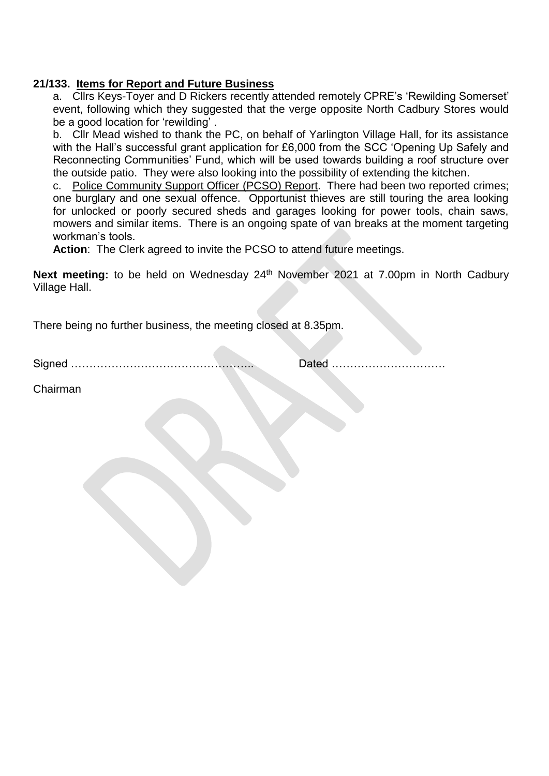# **21/133. Items for Report and Future Business**

a. Cllrs Keys-Toyer and D Rickers recently attended remotely CPRE's 'Rewilding Somerset' event, following which they suggested that the verge opposite North Cadbury Stores would be a good location for 'rewilding' .

b. Cllr Mead wished to thank the PC, on behalf of Yarlington Village Hall, for its assistance with the Hall's successful grant application for £6,000 from the SCC 'Opening Up Safely and Reconnecting Communities' Fund, which will be used towards building a roof structure over the outside patio. They were also looking into the possibility of extending the kitchen.

c. Police Community Support Officer (PCSO) Report. There had been two reported crimes; one burglary and one sexual offence. Opportunist thieves are still touring the area looking for unlocked or poorly secured sheds and garages looking for power tools, chain saws, mowers and similar items. There is an ongoing spate of van breaks at the moment targeting workman's tools.

**Action**: The Clerk agreed to invite the PCSO to attend future meetings.

Next meeting: to be held on Wednesday 24<sup>th</sup> November 2021 at 7.00pm in North Cadbury Village Hall.

There being no further business, the meeting closed at 8.35pm.

Signed ………………………………………….. Dated ………………………….

Chairman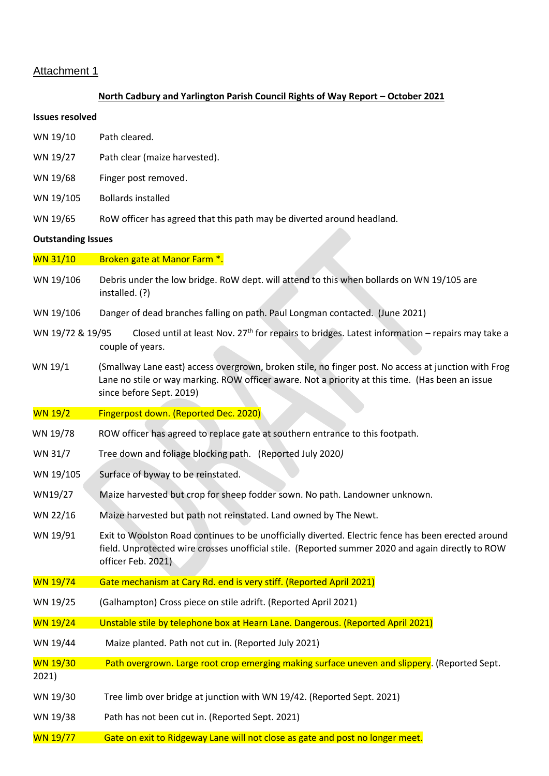#### Attachment 1

#### **North Cadbury and Yarlington Parish Council Rights of Way Report – October 2021**

#### **Issues resolved**

- WN 19/10 Path cleared.
- WN 19/27 Path clear (maize harvested).
- WN 19/68 Finger post removed.
- WN 19/105 Bollards installed
- WN 19/65 RoW officer has agreed that this path may be diverted around headland.

#### **Outstanding Issues**

WN 31/10 Broken gate at Manor Farm \*.

- WN 19/106 Debris under the low bridge. RoW dept. will attend to this when bollards on WN 19/105 are installed. (?)
- WN 19/106 Danger of dead branches falling on path. Paul Longman contacted. (June 2021)
- WN 19/72 & 19/95 Closed until at least Nov. 27<sup>th</sup> for repairs to bridges. Latest information repairs may take a couple of years.
- WN 19/1 (Smallway Lane east) access overgrown, broken stile, no finger post. No access at junction with Frog Lane no stile or way marking. ROW officer aware. Not a priority at this time. (Has been an issue since before Sept. 2019)
- WN 19/2 Fingerpost down. (Reported Dec. 2020)
- WN 19/78 ROW officer has agreed to replace gate at southern entrance to this footpath.
- WN 31/7 Tree down and foliage blocking path. (Reported July 2020*)*
- WN 19/105 Surface of byway to be reinstated.
- WN19/27 Maize harvested but crop for sheep fodder sown. No path. Landowner unknown.
- WN 22/16 Maize harvested but path not reinstated. Land owned by The Newt.
- WN 19/91 Exit to Woolston Road continues to be unofficially diverted. Electric fence has been erected around field. Unprotected wire crosses unofficial stile. (Reported summer 2020 and again directly to ROW officer Feb. 2021)
- WN 19/74 Gate mechanism at Cary Rd. end is very stiff. (Reported April 2021)
- WN 19/25 (Galhampton) Cross piece on stile adrift. (Reported April 2021)
- WN 19/24 Unstable stile by telephone box at Hearn Lane. Dangerous. (Reported April 2021)
- WN 19/44 Maize planted. Path not cut in. (Reported July 2021)
- WN 19/30 Path overgrown. Large root crop emerging making surface uneven and slippery. (Reported Sept. 2021)
- WN 19/30 Tree limb over bridge at junction with WN 19/42. (Reported Sept. 2021)
- WN 19/38 Path has not been cut in. (Reported Sept. 2021)
- WN 19/77 Gate on exit to Ridgeway Lane will not close as gate and post no longer meet.